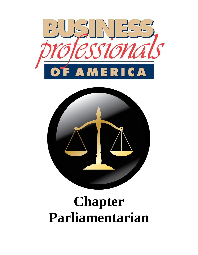



# **Chapter Parliamentarian**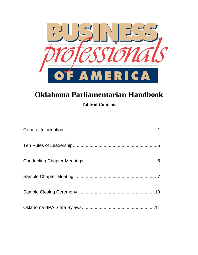

## **Oklahoma Parliamentarian Handbook**

**Table of Contents**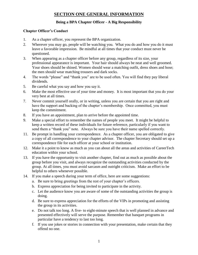## **SECTION ONE GENERAL INFORMATION**

## **Being a BPA Chapter Officer - A Big Responsibility**

## **Chapter Officer's Conduct**

- 1. As a chapter officer, you represent the BPA organization.
- 2. Wherever you may go, people will be watching you. What you do and how you do it must leave a favorable impression. Be mindful at all times that your conduct must never be questioned.
- 3. When appearing as a chapter officer before any group, regardless of its size, your professional appearance is important. Your hair should always be neat and well groomed. Your shoes should be shined. Women should wear a matching outfit, dress shoes and hose; the men should wear matching trousers and dark socks.
- 4. The words "please" and "thank you" are to be used often. You will find they pay liberal dividends.
- 5. Be careful what you say and how you say it.
- 6. Make the most effective use of your time and money. It is most important that you do your very best at all times.
- 7. Never commit yourself orally, or in writing, unless you are certain that you are right and have the support and backing of the chapter's membership. Once committed, you must keep the commitment.
- 8. If you have an appointment, plan to arrive before the appointed time.
- 9. Make a special effort to remember the names of people you meet. It might be helpful to keep a written record of these individuals for future reference, particularly if you want to send them a "thank you" note. Always be sure you have their name spelled correctly.
- 11. Be prompt in handling your correspondence. As a chapter officer, you are obligated to give a copy of all correspondence to your chapter advisor. The chapter Secretary should set up a correspondence file for each officer at your school or institution.
- 12. Make it a point to know as much as you can about all the areas and activities of CareerTech education within your school.
- 13. If you have the opportunity to visit another chapter, find out as much as possible about the group before you visit, and always recognize the outstanding activities conducted by the group. At all times, you must avoid sarcasm and outright criticism. Make an effort to be helpful to others whenever possible.
- 14. If you make a speech during your term of office, here are some suggestions:
	- a. Be sure to bring greetings from the rest of your chapter's officers.
	- b. Express appreciation for being invited to participate in the activity.
	- c. Let the audience know you are aware of some of the outstanding activities the group is doing.
	- d. Be sure to express appreciation for the efforts of the VIPs in promoting and assisting the group in its activities.
	- e. Do not talk too long. A five- to eight-minute speech that is well planned in advance and presented effectively will serve the purpose. Remember that banquet programs in particular have a tendency to last too long.
	- f. If you use jokes or stories in connection with your presentation, make certain that they offend no one.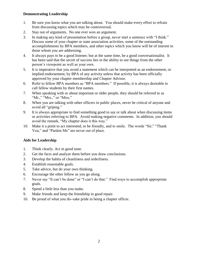## **Demonstrating Leadership**

- 1. Be sure you know what you are talking about. You should make every effort to refrain from discussing topics which may be controversial.
- 2. Stay out of arguments. No one ever won an argument.
- 3. In making any kind of presentation before a group, never start a sentence with "I think." Discuss some of your chapter or state association activities, some of the outstanding accomplishments by BPA members, and other topics which you know will be of interest to those whom you are addressing.
- 4. It always pays to be a good listener; but at the same time, be a good conversationalist. It has been said that the secret of success lies in the ability to see things from the other person's viewpoint as well as your own.
- 5. It is imperative that you avoid a statement which can be interpreted as an endorsement, or implied endorsement, by BPA of any activity unless that activity has been officially approved by your chapter membership and Chapter Advisor.
- 6. Refer to fellow BPA members as "BPA members." If possible, it is always desirable to call fellow students by their first names.
- 7. When speaking with or about important or older people, they should be referred to as "Mr.," "Mrs.," or "Miss."
- 8. When you are talking with other officers in public places, never be critical of anyone and avoid all "griping."
- 9. It is always appropriate to find something good to say or talk about when discussing items or activities referring to BPA. Avoid making negative comments. In addition, you should avoid the remark, "My chapter does it this way."
- 10. Make it a point to act interested, to be friendly, and to smile. The words "Sir," "Thank You," and "Pardon Me" are never out of place.

## **Aids for Leadership**

- 1. Think clearly. Act in good taste.
- 2. Get the facts and analyze them before you draw conclusions.
- 3. Develop the habits of cleanliness and orderliness.
- 4. Establish reasonable goals.
- 5. Take advice, but do your own thinking.
- 6. Encourage the other fellow as you go along.
- 7. Never say "It can't be done" or "I can't do that." Find ways to accomplish appropriate goals.
- 8. Spend a little less than you make.
- 9. Make friends and keep the friendship in good repair.
- 10. Be proud of what you do--take pride in being a chapter officer.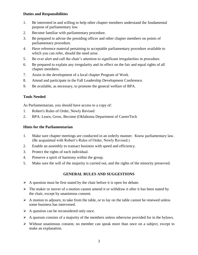## **Duties and Responsibilities**

- 1. Be interested in and willing to help other chapter members understand the fundamental purpose of parliamentary law.
- 2. Become familiar with parliamentary procedure.
- 3. Be prepared to advise the presiding officer and other chapter members on points of parliamentary procedure.
- 4. Have reference material pertaining to acceptable parliamentary procedure available to which you can refer, should the need arise.
- 5. Be ever alert and call the chair's attention to significant irregularities in procedure.
- 6. Be prepared to explain any irregularity and its effect on the fair and equal rights of all chapter members.
- 7. Assist in the development of a local chapter Program of Work.
- 8. Attend and participate in the Fall Leadership Development Conference.
- 9. Be available, as necessary, to promote the general welfare of BPA.

## **Tools Needed**

As Parliamentarian, you should have access to a copy of:

- 1. Robert's Rules of Order, Newly Revised
- 2. BPA: Learn, Grow, Become (Oklahoma Department of CareerTech

## **Hints for the Parliamentarian**

- 1. Make sure chapter meetings are conducted in an orderly manner. Know parliamentary law. (Be acquainted with Robert's Rules of Order, Newly Revised.)
- 2. Enable an assembly to transact business with speed and efficiency.
- 3. Protect the rights of each individual.
- 4. Preserve a spirit of harmony within the group.
- 5. Make sure the will of the majority is carried out, and the rights of the minority preserved.

## **GENERAL RULES AND SUGGESTIONS**

- $\triangleright$  A question must be first stated by the chair before it is open for debate.
- $\triangleright$  The maker or mover of a motion cannot amend it or withdraw it after it has been stated by the chair, except by unanimous consent.
- $\triangleright$  A motion to adjourn, to take from the table, or to lay on the table cannot be renewed unless some business has intervened.
- $\triangleright$  A question can be reconsidered only once.
- $\triangleright$  A quorum consists of a majority of the members unless otherwise provided for in the bylaws.
- $\triangleright$  Without unanimous consent, no member can speak more than once on a subject, except to make an explanation.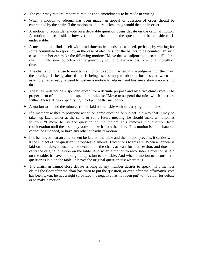- $\triangleright$  The chair may require important motions and amendments to be made in writing.
- When a motion to adjourn has been made, an appeal or question of order should be entertained by the chair. If the motion to adjourn is lost, they would then be in order.
- $\triangleright$  A motion to reconsider a vote on a debatable question opens debate on the original motion. A motion to reconsider, however, is undebatable if the question to be considered is undebatable.
- $\triangleright$  A meeting often finds itself with dead time on its hands, occasioned, perhaps, by waiting for some committee to report, or, in the case of elections, for the ballots to be counted. In such case, a member can make the following motion: "Move that we adjourn to meet at call of the chair." Or the same objective can be gained by voting to take a recess for a certain length of time.
- $\triangleright$  The chair should refuse to entertain a motion to adjourn when, in the judgement of the chair, the privilege is being abused and is being used simply to obstruct business, or when the assembly has already refused to sustain a motion to adjourn and has since shown no wish to do so.
- $\triangleright$  The rules must not be suspended except for a definite purpose and by a two-thirds vote. The proper form of a motion to suspend the rules is: "Move to suspend the rules which interfere with--" then stating or specifying the object of the suspension.
- $\triangleright$  A motion to amend the minutes can be laid on the table without carrying the minutes.
- $\triangleright$  If a member wishes to postpone action on some question or subject in a way that it may be taken up later, either at the same or some future meeting, he should make a motion as follows: "I move to lay the question on the table." This removes the question from consideration until the assembly votes to take it from the table. This motion is not debatable, cannot be amended, or have any other subsidiary motion.
- $\triangleright$  If it be moved that an amendment be laid on the table and the motion prevails, it carries with it the subject of the question it proposes to amend. Exceptions to this are: When an appeal is laid on the table, it sustains the decision of the chair, at least for that session, and does not carry the original question on the table. And when a motion to reconsider a question is laid on the table, it leaves the original question to the table. And when a motion to reconsider a question is laid on the table, it leaves the original question just where it is.
- $\triangleright$  The chairman cannot close debate as long as any member desires to speak. If a member claims the floor after the chair has risen to put the question, or even after the affirmative vote has been taken, he has a right (provided the negative has not been put) to the floor for debate or to make a motion.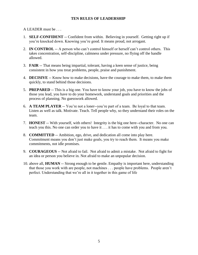## **TEN RULES OF LEADERSHIP**

A LEADER must be . . .

- 1. **SELF-CONFIDENT** -- Confident from within. Believing in yourself. Getting right up if you're knocked down. Knowing you're good. It means proud, not arrogant.
- 2. **IN CONTROL** -- A person who can't control himself or herself can't control others. This takes concentration, self-discipline, calmness under pressure, no flying off the handle allowed.
- 3. **FAIR** -- That means being impartial, tolerant, having a keen sense of justice, being consistent in how you treat problems, people, praise and punishment.
- 4. **DECISIVE** -- Know how to make decisions, have the courage to make them, to make them quickly, to stand behind those decisions.
- 5. **PREPARED** -- This is a big one. You have to know your job, you have to know the jobs of those you lead, you have to do your homework, understand goals and priorities and the process of planning. No guesswork allowed.
- 6. **A TEAM PLAYER** -- You're not a loner--you're part of a team. Be loyal to that team. Listen as well as talk. Motivate. Teach. Tell people why, so they understand their roles on the team.
- 7. **HONEST** -- With yourself, with others! Integrity is the big one here--character. No one can teach you this. No one can order you to have it . . . it has to come with you and from you.
- 8. **COMMITTED** -- Ambition, ego, drive, and dedication all come into play here. Commitment means you don't just make goals, you try to reach them. It means you make commitments, not idle promises.
- 9. **COURAGEOUS** -- Not afraid to fail. Not afraid to admit a mistake. Not afraid to fight for an idea or person you believe in. Not afraid to make an unpopular decision.
- 10. above all, **HUMAN** -- Strong enough to be gentle. Empathy is important here, understanding that those you work with are people, not machines . . . people have problems. People aren't perfect. Understanding that we're all in it together in this game of life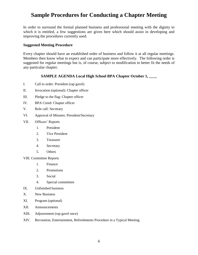## **Sample Procedures for Conducting a Chapter Meeting**

In order to surround the formal planned business and professional meeting with the dignity to which it is entitled, a few suggestions are given here which should assist in developing and improving the procedures currently used.

## **Suggested Meeting Procedure**

Every chapter should have an established order of business and follow it at all regular meetings. Members then know what to expect and can participate more effectively. The following order is suggested for regular meetings but is, of course, subject to modification to better fit the needs of any particular chapter.

## **SAMPLE AGENDA Local High School BPA Chapter October 1,**

- I. Call to order: President (rap gavel)
- II. Invocation (optional): Chapter officer
- III. Pledge to the flag: Chapter officer
- IV. BPA Creed: Chapter officer
- V. Role call: Secretary
- VI. Approval of Minutes: President/Secretary
- VII. Officers' Reports
	- 1. President
	- 2. Vice President
	- 3. Treasurer
	- 4. Secretary
	- 5. Others

VIII. Committee Reports

- 1. Finance
- 2. Promotions
- 3. Social
- 4. Special committees
- IX. Unfinished business
- X. New Business
- XI. Program (optional)
- XII. Announcements
- XIII. Adjournment (rap gavel once)
- XIV. Recreation, Entertainment, Refreshments Procedure in a Typical Meeting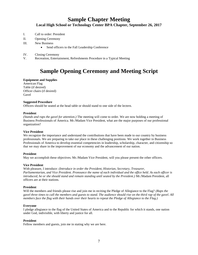## **Sample Chapter Meeting**

#### **Local High School or Technology Center BPA Chapter, September 26, 2017**

- I. Call to order: President
- II. Opening Ceremony
- III. New Business
	- Send officers to the Fall Leadership Conference
- IV. Closing Ceremony
- V. Recreation, Entertainment, Refreshments Procedure in a Typical Meeting

## **Sample Opening Ceremony and Meeting Script**

#### **Equipment and Supplies**

American Flag Table (if desired) Officer chairs (if desired) Gavel

#### **Suggested Procedure**

Officers should be seated at the head table or should stand to one side of the lectern.

#### **President**

*(Stands and raps the gavel for attention.)* The meeting will come to order. We are now holding a meeting of Business Professionals of America. Mr./Madam Vice President, what are the major purposes of our professional organization?

#### **Vice President**

We recognize the importance and understand the contributions that have been made to our country by business professionals. We are preparing to take our place in these challenging positions. We work together in Business Professionals of America to develop essential competencies in leadership, scholarship, character, and citizenship so that we may share in the improvement of our economy and the advancement of our nation.

#### **President**

May we accomplish these objectives. Mr./Madam Vice President, will you please present the other officers.

#### **Vice President**

With pleasure, I introduce: *(Introduce in order the President, Historian, Secretary, Treasurer, Parliamentarian, and Vice President. Pronounce the name of each individual and the office held. As each officer is introduced, he or she should stand and remain standing until seated by the President.)* Mr./Madam President, all officers are at their stations.

#### **President**

Will the members and friends please rise and join me in reciting the Pledge of Allegiance to the Flag? *(Raps the gavel three times to call the members and guests to stand. The audience should rise on the third rap of the gavel. All members face the flag with their hands over their hearts to repeat the Pledge of Allegiance to the Flag.)*

#### **Everyone**

I pledge allegiance to the flag of the United States of America and to the Republic for which it stands, one nation under God, indivisible, with liberty and justice for all.

#### **President**

Fellow members and guests, join me in stating why we are here.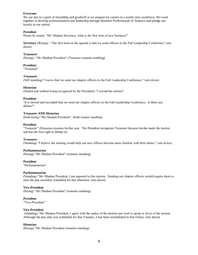#### **Everyone**

We are met in a spirit of friendship and goodwill as we prepare for careers in a world class workforce. We work together to develop professionalism and leadership through Business Professionals of America and pledge our loyalty to our nation.

#### **President**

Please be seated. "Mr./Madam Secretary, what is the first item of new business?"

**Secretary** (Rising): "The first item on the agenda is that we send officers to the Fall Leadership Conference" (sits down)

#### **Treasurer**

(Rising): "Mr./Madam President" (Treasurer remains standing)

#### **President**

"Treasurer"

#### **Treasurer**

(Still standing) "I move that we send our chapter officers to the Fall Leadership Conference." (sits down)

#### **Historian**

(Seated and without being recognized by the President) "I second the motion".

#### **President**

"It is moved and seconded that we send our chapter officers to the Fall Leadership Conference. Is there any debate?"

#### **Treasurer AND Historian**

(both rising) "Mr./Madam President" (both remain standing)

#### **President**

"Treasurer" (Historian resumes his/her seat. The President recognizes Treasurer because he/she made the motion and has the first right to debate it).

#### **Treasurer**

(Standing) "I believe the training would help our new officers become more familiar with their duties." (sits down).

#### **Parliamentarian**

(Rising) "Mr./Madam President" (remains standing)

#### **President**

"Parliamentarian"

#### **Parliamentarian**

(Standing) "Mr./Madam President, I am opposed to this motion. Sending our chapter officers would require them to miss the pep assembly scheduled for that afternoon. (sits down)

#### **Vice-President**

(Rising) "Mr./Madam President" (remains standing)

#### **President**

"Vice-President"

#### **Vice-President**

(Standing) "Mr./Madam President, I agree with the maker of the motion and wish to speak in favor of the motion. Although the pep rally was scheduled for that Tuesday, it has been rescheduled to that Friday. (sits down)

#### **Historian**

(Rising) "Mr./Madam President (remains standing)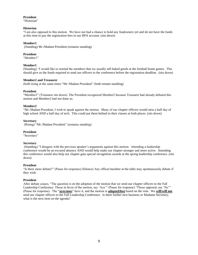#### **President**

"Historian"

#### **Historian**

"I am also opposed to this motion. We have not had a chance to hold any fundraisers yet and do not have the funds at this time to pay the registration fees in our BPA account. (sits down)

#### **Member1**

(Standing) Mr./Madam President (remains standing)

#### **President**

"Member1"

#### **Member1**

(Standing) "I would like to remind the members that we usually sell baked goods at the football home games. This should give us the funds required to send our officers to the conference before the registration deadline. (sits down)

#### **Member2 and Treasurer**

(both rising at the same time) "Mr./Madam President" (both remain standing)

#### **President**

"Member2" (Treasurer sits down). The President recognized Member2 because Treasurer had already debated this motion and Member2 had not done so.

#### **Member2**

"Mr./Madam President, I wish to speak against the motion. Many of our chapter officers would miss a half day of high school AND a half day of tech. This could put them behind in their classes at both places. (sits down)

#### **Secretary**

(Rising) "Mr./Madam President" (remains standing)

#### **President**

"Secretary"

#### **Secretary**

(Standing) "I disagree with the previous speaker's arguments against this motion. Attending a leadership conference would be an excused absence AND would help make our chapter stronger and more active. Attending this conference would also help our chapter gain special recognition awards at the spring leadership conference. (sits down)

#### **President**

"Is there more debate?" (Pause for response) (Silence) Any officer/member at the table may spontaneously debate if they wish.

#### **President**

After debate ceases, "The question is on the adoption of the motion that we send our chapter officers to the Fall Leadership Conference. Those in favor of the motion, say 'Aye'" (Pause for response) "Those opposed, say 'No'" (Pause for response). The "**ayes/noes**" have it, and the motion is **adopted/lost** based on the vote. We **will/will not** send our chapter officers to the Fall Leadership Conference. Is there further new business or Madame Secretary, what is the next item on the agenda?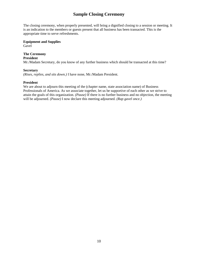## **Sample Closing Ceremony**

The closing ceremony, when properly presented, will bring a dignified closing to a session or meeting. It is an indication to the members or guests present that all business has been transacted. This is the appropriate time to serve refreshments.

## **Equipment and Supplies**

Gavel

## **The Ceremony**

## **President**

Mr./Madam Secretary, do you know of any further business which should be transacted at this time?

#### **Secretary**

*(Rises, replies, and sits down.)* I have none, Mr./Madam President.

#### **President**

We are about to adjourn this meeting of the (chapter name, state association name) of Business Professionals of America. As we associate together, let us be supportive of each other as we strive to attain the goals of this organization. *(Pause)* If there is no further business and no objection, the meeting will be adjourned. *(Pause)* I now declare this meeting adjourned. *(Rap gavel once.)*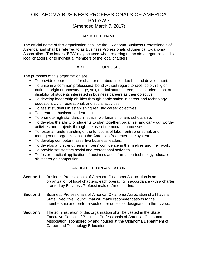## OKLAHOMA BUSINESS PROFESSIONALS OF AMERICA BYLAWS (Amended March 7, 2017)

## ARTICLE I. NAME

The official name of this organization shall be the Oklahoma Business Professionals of America, and shall be referred to as Business Professionals of America, Oklahoma Association. The letters "BPA" may be used when referring to the state organization, its local chapters, or to individual members of the local chapters.

## ARTICLE II. PURPOSES

The purposes of this organization are:

- To provide opportunities for chapter members in leadership and development.
- To unite in a common professional bond without regard to race, color, religion, national origin or ancestry, age, sex, marital status, creed, sexual orientation, or disability of students interested in business careers as their objective.
- To develop leadership abilities through participation in career and technology education, civic, recreational, and social activities.
- To assist students in establishing realistic career objectives.
- To create enthusiasm for learning.
- To promote high standards in ethics, workmanship, and scholarship.
- To develop the ability of students to plan together, organize, and carry out worthy activities and projects through the use of democratic processes.
- To foster an understanding of the functions of labor, entrepreneurial, and management organizations in the American free enterprise system.
- To develop competent, assertive business leaders.
- To develop and strengthen members' confidence in themselves and their work.
- To provide satisfactory social and recreational activities.
- To foster practical application of business and information technology education skills through competition.

## ARTICLE III. ORGANIZATION

- **Section 1.** Business Professionals of America, Oklahoma Association is an organization of local chapters, each operating in accordance with a charter granted by Business Professionals of America, Inc.
- **Section 2.** Business Professionals of America, Oklahoma Association shall have a State Executive Council that will make recommendations to the membership and perform such other duties as designated in the bylaws.
- **Section 3.** The administration of this organization shall be vested in the State Executive Council of Business Professionals of America, Oklahoma Association, sponsored by and housed at the Oklahoma Department of Career and Technology Education.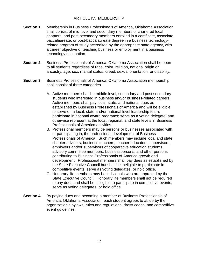## ARTICLE IV. MEMBERSHIP

- **Section 1.** Membership in Business Professionals of America, Oklahoma Association shall consist of mid-level and secondary members of chartered local chapters, and post-secondary members enrolled in a certificate, associate, baccalaureate, or post-baccalaureate degree in a business technologyrelated program of study accredited by the appropriate state agency, with a career objective of teaching business or employment in a business technology occupation.
- **Section 2.** Business Professionals of America, Oklahoma Association shall be open to all students regardless of race, color, religion, national origin or ancestry, age, sex, marital status, creed, sexual orientation, or disability.
- **Section 3.** Business Professionals of America, Oklahoma Association membership shall consist of three categories.
	- A. Active members shall be middle level, secondary and post secondary students who interested in business and/or business-related careers. Active members shall pay local, state, and national dues as established by Business Professionals of America and will be eligible to serve on a local, state and/or national level leadership team; participate in national award programs; serve as a voting delegate; and otherwise represent at the local, regional, and state levels in Business Professionals of America activities.
	- B. Professional members may be persons or businesses associated with, or participating in, the professional development of Business Professionals of America. Such members may include local and state chapter advisors, business teachers, teacher educators, supervisors, employers and/or supervisors of cooperative education students, advisory committee members, businesspersons, and other persons contributing to Business Professionals of America growth and development. Professional members shall pay dues as established by the State Executive Council but shall be ineligible to participate in competitive events, serve as voting delegates, or hold office.
	- C. Honorary life members may be individuals who are approved by the State Executive Council. Honorary life members shall not be required to pay dues and shall be ineligible to participate in competitive events, serve as voting delegates, or hold office.
- **Section 4.** By paying dues and becoming a member of Business Professionals of America, Oklahoma Association, each student agrees to abide by the organization's bylaws, rules and regulations, dress codes, and competitive event guidelines.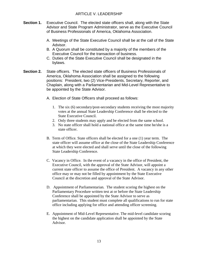- **Section 1.** Executive Council. The elected state officers shall, along with the State Advisor and State Program Administrator, serve as the Executive Council of Business Professionals of America, Oklahoma Association.
	- A. Meetings of the State Executive Council shall be at the call of the State Advisor.
	- B. A Quorum shall be constituted by a majority of the members of the Executive Council for the transaction of business.
	- C. Duties of the State Executive Council shall be designated in the bylaws.
- **Section 2.** State officers. The elected state officers of Business Professionals of America, Oklahoma Association shall be assigned to the following positions: President, two (2) Vice-Presidents, Secretary, Reporter, and Chaplain, along with a Parliamentarian and Mid-Level Representative to be appointed by the State Advisor.
	- A. Election of State Officers shall proceed as follows:
		- 1. The six (6) secondary/post-secondary students receiving the most majority votes at the annual State Leadership Conference shall be elected to the State Executive Council.
		- 2. Only three students may apply and be elected from the same school.
		- 3. No state officer shall hold a national office at the same time he/she is a state officer.
	- B. Term of Office*.* State officers shall be elected for a one (1) year term. The state officer will assume office at the close of the State Leadership Conference at which they were elected and shall serve until the close of the following State Leadership Conference.
	- C. Vacancy in Office*.* In the event of a vacancy in the office of President, the Executive Council, with the approval of the State Advisor, will appoint a current state officer to assume the office of President. A vacancy in any other office may or may not be filled by appointment by the State Executive Council at the discretion and approval of the State Advisor.
	- D. Appointment of Parliamentarian*.* The student scoring the highest on the Parliamentary Procedure written test at or before the State Leadership Conference shall be appointed by the State Advisor to serve as parliamentarian. This student must complete all qualifications to run for state office including applying for office and attending officer screening.
	- E. Appointment of Mid-Level Representative. The mid-level candidate scoring the highest on the candidate application shall be appointed by the State Advisor.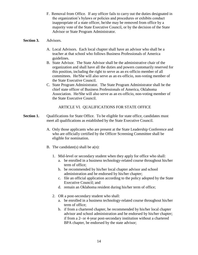F. Removal from Office*.* If any officer fails to carry out the duties designated in the organization's bylaws or policies and procedures or exhibits conduct inappropriate of a state officer, he/she may be removed from office by a majority vote of the State Executive Council, or by the decision of the State Advisor or State Program Administrator.

## **Section 3.** Advisors.

- A. Local Advisors*.* Each local chapter shall have an advisor who shall be a teacher at that school who follows Business Professionals of America guidelines.
- B. State Advisor*.* The State Advisor shall be the administrative chair of the organization and shall have all the duties and powers customarily reserved for this position, including the right to serve as an ex-officio member of all committees. He/She will also serve as an ex-officio, non-voting member of the State Executive Council.
- C. State Program Administrator*.* The State Program Administrator shall be the chief state officer of Business Professionals of America, Oklahoma Association. He/She will also serve as an ex-officio, non-voting member of the State Executive Council.

## ARTICLE VI. QUALIFICATIONS FOR STATE OFFICE

- **Section 1.** Qualifications for State Office. To be eligible for state office, candidates must meet all qualifications as established by the State Executive Council.
	- A. Only those applicants who are present at the State Leadership Conference and who are officially certified by the Officer Screening Committee shall be eligible for nomination.
	- B. The candidate(s) shall be  $a(n)$ :
		- 1. Mid-level or secondary student when they apply for office who shall:
			- a. be enrolled in a business technology-related course throughout his/her term of office;
			- b. be recommended by his/her local chapter advisor and school administration and be endorsed by his/her chapter;
			- c. file an official application according to the policy adopted by the State Executive Council; and
			- d. remain an Oklahoma resident during his/her term of office;
		- 2. OR a post-secondary student who shall:
			- a. be enrolled in a business technology-related course throughout his/her term of office;
			- b. if from a chartered chapter, be recommended by his/her local chapter advisor and school administration and be endorsed by his/her chapter; if from a 2- or 4-year post-secondary institution without a chartered BPA chapter, be endorsed by the state advisor;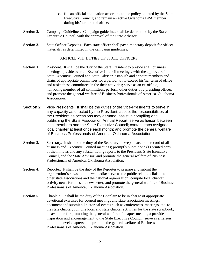- c. file an official application according to the policy adopted by the State Executive Council; and remain an active Oklahoma BPA member during his/her term of office;
- **Section 2.** Campaign Guidelines. Campaign guidelines shall be determined by the State Executive Council, with the approval of the State Advisor.
- **Section 3.** State Officer Deposits. Each state officer shall pay a monetary deposit for officer materials, as determined in the campaign guidelines.

## ARTICLE VII. DUTIES OF STATE OFFICERS

- **Section 1.** President. It shall be the duty of the State President to preside at all business meetings; preside over all Executive Council meetings; with the approval of the State Executive Council and State Advisor, establish and appoint members and chairs of appropriate committees for a period not to exceed his/her term of office and assist these committees in the their activities; serve as an ex-officio, nonvoting member of all committees; perform other duties of a presiding officer; and promote the general welfare of Business Professionals of America, Oklahoma Association.
- **Section 2.** Vice-Presidents. It shall be the duties of the Vice-Presidents to serve in any capacity as directed by the President; accept the responsibilities of the President as occasions may demand; assist in compiling and publishing the State Association Annual Report; serve as liaison between local members and the State Executive Council; contact each assigned local chapter at least once each month; and promote the general welfare of Business Professionals of America, Oklahoma Association.
- **Section 3.** Secretary. It shall be the duty of the Secretary to keep an accurate record of all business and Executive Council meetings; promptly submit one (1) printed copy of the minutes and any substantiating reports to the President, State Executive Council, and the State Advisor; and promote the general welfare of Business Professionals of America, Oklahoma Association.
- **Section 4.** Reporter. It shall be the duty of the Reporter to prepare and submit the organization's news to all news media; serve as the public relations liaison to other state associations and the national organization; compile local chapter activity news for the state newsletter; and promote the general welfare of Business Professionals of America, Oklahoma Association.
- **Section 5.** Chaplain. It shall be the duty of the Chaplain to be in charge of appropriate devotional exercises for council meetings and state association meetings; document and submit all historical events such as conferences, meetings, etc. to the state chapter; compile local and state chapter activities for the state scrapbook; be available for promoting the general welfare of chapter meetings; provide inspiration and encouragement to the State Executive Council; serve as a liaison to middle level chapters; and promote the general welfare of Business Professionals of America, Oklahoma Association.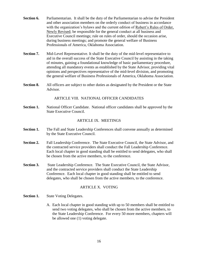- **Section 6.** Parliamentarian. It shall be the duty of the Parliamentarian to advise the President and other association members on the orderly conduct of business in accordance with the organization's bylaws and the current edition of Robert's Rules of Order, Newly Revised; be responsible for the general conduct at all business and Executive Council meetings; rule on rules of order, should the occasion arise, during business meetings; and promote the general welfare of Business Professionals of America, Oklahoma Association.
- **Section 7.** Mid-Level Representative. It shall be the duty of the mid-level representative to aid in the overall success of the State Executive Council by assisting in the taking of minutes, gaining a foundational knowledge of basic parliamentary procedure, attending all mandatory events as established by the State Advisor, providing vital opinions and perspectives representative of the mid-level division, and promoting the general welfare of Business Professionals of America, Oklahoma Association.
- **Section 8.** All officers are subject to other duties as designated by the President or the State Advisor.

ARTICLE VIII. NATIONAL OFFICER CANDIDATES

**Section 1.** National Officer Candidate. National officer candidates shall be approved by the State Executive Council.

## ARTICLE IX. MEETINGS

- **Section 1.** The Fall and State Leadership Conferences shall convene annually as determined by the State Executive Council.
- **Section 2.** Fall Leadership Conference. The State Executive Council, the State Advisor, and the contracted service providers shall conduct the Fall Leadership Conference. Each local chapter in good standing shall be entitled to send delegates, who shall be chosen from the active members, to the conference.
- **Section 3.** State Leadership Conference. The State Executive Council, the State Advisor, and the contracted service providers shall conduct the State Leadership Conference. Each local chapter in good standing shall be entitled to send delegates, who shall be chosen from the active members, to the conference.

## ARTICLE X. VOTING

- **Section 1.** State Voting Delegates.
	- A. Each local chapter in good standing with up to 50 members shall be entitled to send two voting delegates, who shall be chosen from the active members, to the State Leadership Conference. For every 50 more members, chapters will be allowed one (1) voting delegate.